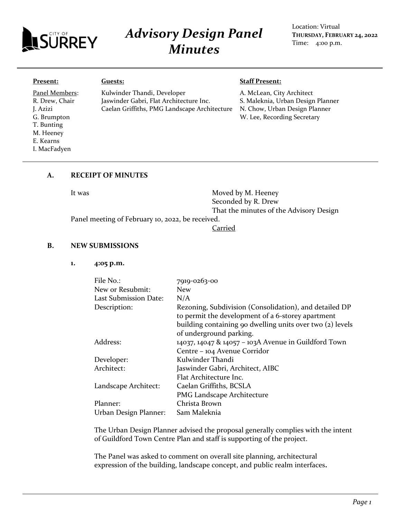

# *Advisory Design Panel Minutes*

Location: Virtual **THURSDAY, FEBRUARY 24, 2022** Time: 4:00 p.m.

#### **Present:**

Panel Members: R. Drew, Chair J. Azizi G. Brumpton T. Bunting M. Heeney E. Kearns I. MacFadyen

Kulwinder Thandi, Developer Jaswinder Gabri, Flat Architecture Inc. Caelan Griffiths, PMG Landscape Architecture

## **Staff Present:**

A. McLean, City Architect S. Maleknia, Urban Design Planner N. Chow, Urban Design Planner W. Lee, Recording Secretary

#### **A. RECEIPT OF MINUTES**

**Guests:**

It was Moved by M. Heeney Seconded by R. Drew That the minutes of the Advisory Design

Panel meeting of February 10, 2022, be received.

**Carried** 

#### **B. NEW SUBMISSIONS**

**1. 4:05 p.m.**

| File No.:             | 7919-0263-00                                              |
|-----------------------|-----------------------------------------------------------|
| New or Resubmit:      | <b>New</b>                                                |
| Last Submission Date: | N/A                                                       |
| Description:          | Rezoning, Subdivision (Consolidation), and detailed DP    |
|                       | to permit the development of a 6-storey apartment         |
|                       | building containing 90 dwelling units over two (2) levels |
|                       | of underground parking.                                   |
| Address:              | 14037, 14047 & 14057 - 103A Avenue in Guildford Town      |
|                       | Centre - 104 Avenue Corridor                              |
| Developer:            | Kulwinder Thandi                                          |
| Architect:            | Jaswinder Gabri, Architect, AIBC                          |
|                       | Flat Architecture Inc.                                    |
| Landscape Architect:  | Caelan Griffiths, BCSLA                                   |
|                       | PMG Landscape Architecture                                |
| Planner:              | Christa Brown                                             |
| Urban Design Planner: | Sam Maleknia                                              |

The Urban Design Planner advised the proposal generally complies with the intent of Guildford Town Centre Plan and staff is supporting of the project.

The Panel was asked to comment on overall site planning, architectural expression of the building, landscape concept, and public realm interfaces**.**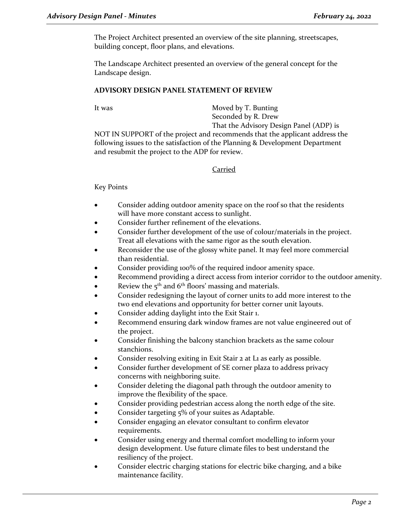The Project Architect presented an overview of the site planning, streetscapes, building concept, floor plans, and elevations.

The Landscape Architect presented an overview of the general concept for the Landscape design.

## **ADVISORY DESIGN PANEL STATEMENT OF REVIEW**

It was Moved by T. Bunting Seconded by R. Drew

That the Advisory Design Panel (ADP) is NOT IN SUPPORT of the project and recommends that the applicant address the following issues to the satisfaction of the Planning & Development Department and resubmit the project to the ADP for review.

# Carried

# Key Points

- Consider adding outdoor amenity space on the roof so that the residents will have more constant access to sunlight.
- Consider further refinement of the elevations.
- Consider further development of the use of colour/materials in the project. Treat all elevations with the same rigor as the south elevation.
- Reconsider the use of the glossy white panel. It may feel more commercial than residential.
- Consider providing 100% of the required indoor amenity space.
- Recommend providing a direct access from interior corridor to the outdoor amenity.
- Review the  $5<sup>th</sup>$  and  $6<sup>th</sup>$  floors' massing and materials.
- Consider redesigning the layout of corner units to add more interest to the two end elevations and opportunity for better corner unit layouts.
- Consider adding daylight into the Exit Stair 1.
- Recommend ensuring dark window frames are not value engineered out of the project.
- Consider finishing the balcony stanchion brackets as the same colour stanchions.
- Consider resolving exiting in Exit Stair 2 at L1 as early as possible.
- Consider further development of SE corner plaza to address privacy concerns with neighboring suite.
- Consider deleting the diagonal path through the outdoor amenity to improve the flexibility of the space.
- Consider providing pedestrian access along the north edge of the site.
- Consider targeting 5% of your suites as Adaptable.
- Consider engaging an elevator consultant to confirm elevator requirements.
- Consider using energy and thermal comfort modelling to inform your design development. Use future climate files to best understand the resiliency of the project.
- Consider electric charging stations for electric bike charging, and a bike maintenance facility.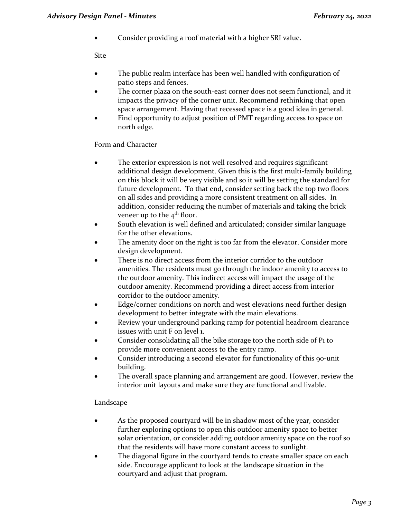• Consider providing a roof material with a higher SRI value.

Site

- The public realm interface has been well handled with configuration of patio steps and fences.
- The corner plaza on the south-east corner does not seem functional, and it impacts the privacy of the corner unit. Recommend rethinking that open space arrangement. Having that recessed space is a good idea in general.
- Find opportunity to adjust position of PMT regarding access to space on north edge.

# Form and Character

- The exterior expression is not well resolved and requires significant additional design development. Given this is the first multi-family building on this block it will be very visible and so it will be setting the standard for future development. To that end, consider setting back the top two floors on all sides and providing a more consistent treatment on all sides. In addition, consider reducing the number of materials and taking the brick veneer up to the  $4<sup>th</sup>$  floor.
- South elevation is well defined and articulated; consider similar language for the other elevations.
- The amenity door on the right is too far from the elevator. Consider more design development.
- There is no direct access from the interior corridor to the outdoor amenities. The residents must go through the indoor amenity to access to the outdoor amenity. This indirect access will impact the usage of the outdoor amenity. Recommend providing a direct access from interior corridor to the outdoor amenity.
- Edge/corner conditions on north and west elevations need further design development to better integrate with the main elevations.
- Review your underground parking ramp for potential headroom clearance issues with unit F on level 1.
- Consider consolidating all the bike storage top the north side of P1 to provide more convenient access to the entry ramp.
- Consider introducing a second elevator for functionality of this 90-unit building.
- The overall space planning and arrangement are good. However, review the interior unit layouts and make sure they are functional and livable.

# Landscape

- As the proposed courtyard will be in shadow most of the year, consider further exploring options to open this outdoor amenity space to better solar orientation, or consider adding outdoor amenity space on the roof so that the residents will have more constant access to sunlight.
- The diagonal figure in the courtyard tends to create smaller space on each side. Encourage applicant to look at the landscape situation in the courtyard and adjust that program.